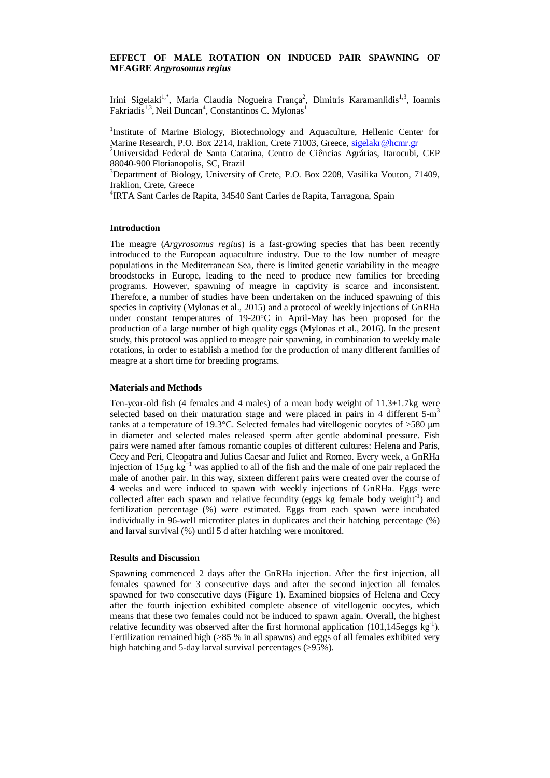# **EFFECT OF MALE ROTATION ON INDUCED PAIR SPAWNING OF MEAGRE** *Argyrosomus regius*

Irini Sigelaki<sup>1,\*</sup>, Maria Claudia Nogueira França<sup>2</sup>, Dimitris Karamanlidis<sup>1,3</sup>, Ioannis Fakriadis<sup>1,3</sup>, Neil Duncan<sup>4</sup>, Constantinos C. Mylonas<sup>1</sup>

<sup>1</sup>Institute of Marine Biology, Biotechnology and Aquaculture, Hellenic Center for Marine Research, P.O. Box 2214, Iraklion, Crete 71003, Greece, [sigelakr@hcmr.gr](mailto:sigelakr@hcmr.gr) <sup>2</sup>Universidad Federal de Santa Catarina, Centro de Ciências Agrárias, Itarocubi, CEP 88040-900 Florianopolis, SC, Brazil

<sup>3</sup>Department of Biology, University of Crete, P.O. Box 2208, Vasilika Vouton, 71409, Iraklion, Crete, Greece

4 IRTA Sant Carles de Rapita, 34540 Sant Carles de Rapita, Tarragona, Spain

## **Introduction**

The meagre (*Argyrosomus regius*) is a fast-growing species that has been recently introduced to the European aquaculture industry. Due to the low number of meagre populations in the Mediterranean Sea, there is limited genetic variability in the meagre broodstocks in Europe, leading to the need to produce new families for breeding programs. However, spawning of meagre in captivity is scarce and inconsistent. Therefore, a number of studies have been undertaken on the induced spawning of this species in captivity (Mylonas et al., 2015) and a protocol of weekly injections of GnRHa under constant temperatures of 19-20°C in April-May has been proposed for the production of a large number of high quality eggs (Mylonas et al., 2016). In the present study, this protocol was applied to meagre pair spawning, in combination to weekly male rotations, in order to establish a method for the production of many different families of meagre at a short time for breeding programs.

### **Materials and Methods**

Ten-year-old fish (4 females and 4 males) of a mean body weight of  $11.3\pm1.7$ kg were selected based on their maturation stage and were placed in pairs in 4 different  $5-m<sup>3</sup>$ tanks at a temperature of 19.3°C. Selected females had vitellogenic oocytes of >580 μm in diameter and selected males released sperm after gentle abdominal pressure. Fish pairs were named after famous romantic couples of different cultures: Helena and Paris, Cecy and Peri, Cleopatra and Julius Caesar and Juliet and Romeo. Every week, a GnRHa injection of 15μg kg−1 was applied to all of the fish and the male of one pair replaced the male of another pair. In this way, sixteen different pairs were created over the course of 4 weeks and were induced to spawn with weekly injections of GnRHa. Eggs were collected after each spawn and relative fecundity (eggs kg female body weight<sup>-1</sup>) and fertilization percentage (%) were estimated. Eggs from each spawn were incubated individually in 96-well microtiter plates in duplicates and their hatching percentage (%) and larval survival (%) until 5 d after hatching were monitored.

#### **Results and Discussion**

Spawning commenced 2 days after the GnRHa injection. After the first injection, all females spawned for 3 consecutive days and after the second injection all females spawned for two consecutive days (Figure 1). Examined biopsies of Helena and Cecy after the fourth injection exhibited complete absence of vitellogenic oocytes, which means that these two females could not be induced to spawn again. Overall, the highest relative fecundity was observed after the first hormonal application (101,145eggs  $\text{kg}^{-1}$ ). Fertilization remained high (>85 % in all spawns) and eggs of all females exhibited very high hatching and 5-day larval survival percentages (>95%).